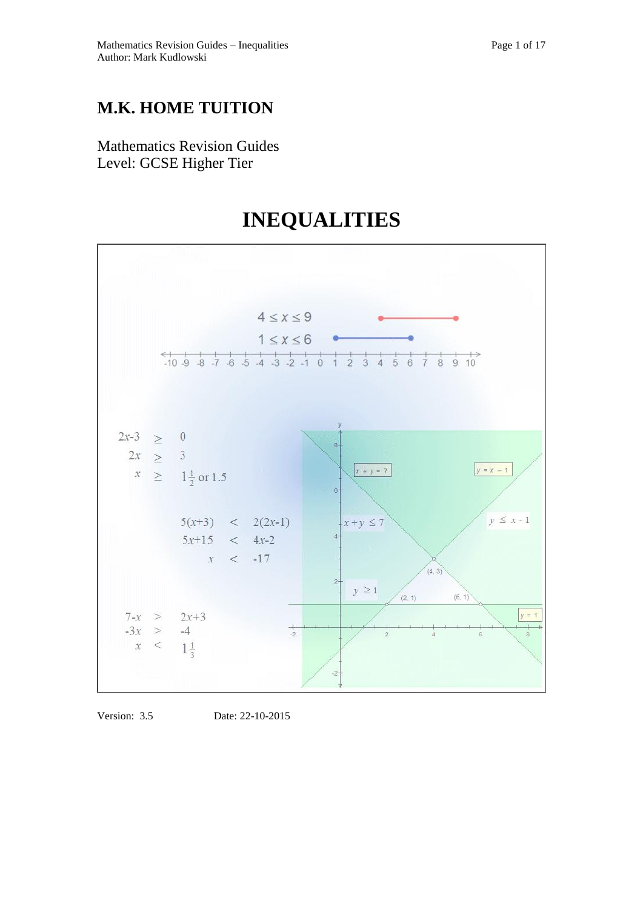## **M.K. HOME TUITION**

Mathematics Revision Guides Level: GCSE Higher Tier

# **INEQUALITIES**



Version: 3.5 Date: 22-10-2015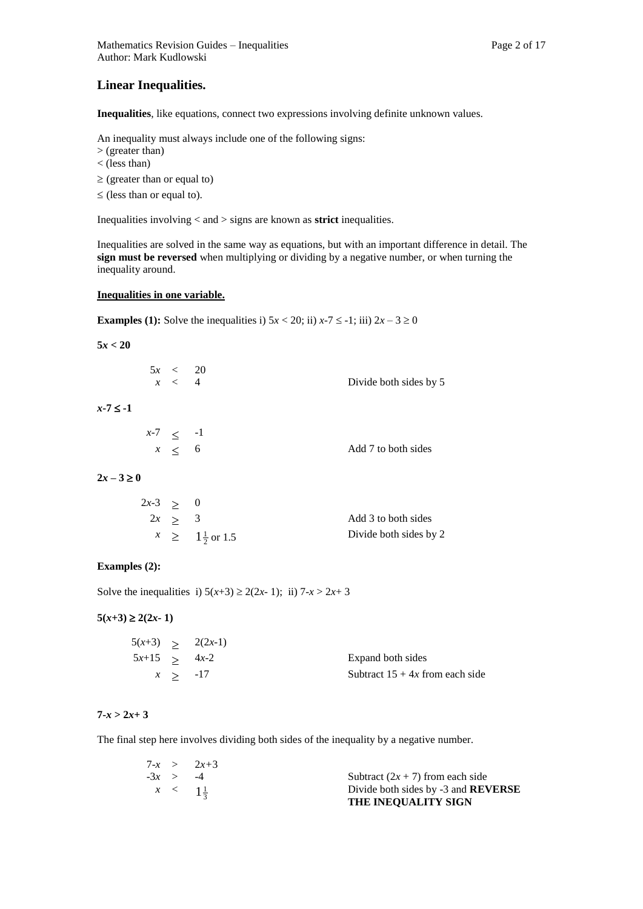## **Linear Inequalities.**

**Inequalities**, like equations, connect two expressions involving definite unknown values.

An inequality must always include one of the following signs:

> (greater than)

< (less than)

 $\geq$  (greater than or equal to)

 $\le$  (less than or equal to).

Inequalities involving < and > signs are known as **strict** inequalities.

Inequalities are solved in the same way as equations, but with an important difference in detail. The **sign must be reversed** when multiplying or dividing by a negative number, or when turning the inequality around.

## **Inequalities in one variable.**

**Examples (1):** Solve the inequalities i)  $5x < 20$ ; ii)  $x - 7 \le -1$ ; iii)  $2x - 3 \ge 0$ 

#### **5***x* **< 20**

 $x - 7 \le -1$ 

| $5x \leq 20$<br>$x \leq 4$ |  | Divide both sides by 5 |
|----------------------------|--|------------------------|
| $x-7 < -1$<br>$x \leq 6$   |  | Add 7 to both sides    |

## $2x - 3 \ge 0$

| $2x-3 > 0$ |                              |                        |
|------------|------------------------------|------------------------|
| 2x > 3     |                              | Add 3 to both sides    |
|            | $x \geq 1\frac{1}{2}$ or 1.5 | Divide both sides by 2 |

## **Examples (2):**

Solve the inequalities i)  $5(x+3) \ge 2(2x-1)$ ; ii)  $7-x > 2x+3$ 

#### $5(x+3) \ge 2(2x-1)$

|                | $5(x+3) > 2(2x-1)$ |                                   |
|----------------|--------------------|-----------------------------------|
| $5x+15 > 4x-2$ |                    | Expand both sides                 |
|                | $x > -17$          | Subtract $15 + 4x$ from each side |

#### $7-x > 2x+3$

The final step here involves dividing both sides of the inequality by a negative number.

|            | $7-x > 2x+3$          |                                     |
|------------|-----------------------|-------------------------------------|
| $-3x > -4$ |                       | Subtract $(2x + 7)$ from each side  |
|            | $x \leq 1\frac{1}{2}$ | Divide both sides by -3 and REVERSE |
|            |                       | THE INEQUALITY SIGN                 |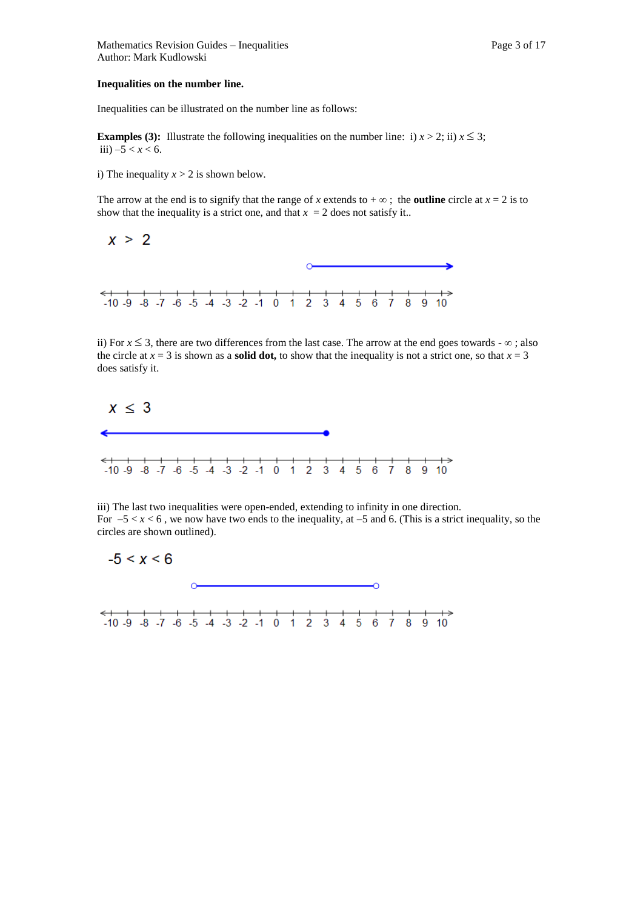#### **Inequalities on the number line.**

Inequalities can be illustrated on the number line as follows:

**Examples (3):** Illustrate the following inequalities on the number line: i)  $x > 2$ ; ii)  $x \le 3$ ; iii)  $-5 < x < 6$ .

i) The inequality  $x > 2$  is shown below.

The arrow at the end is to signify that the range of *x* extends to  $+\infty$ ; the **outline** circle at  $x = 2$  is to show that the inequality is a strict one, and that  $x = 2$  does not satisfy it..



ii) For  $x \le 3$ , there are two differences from the last case. The arrow at the end goes towards -  $\infty$ ; also the circle at  $x = 3$  is shown as a **solid dot**, to show that the inequality is not a strict one, so that  $x = 3$ does satisfy it.



iii) The last two inequalities were open-ended, extending to infinity in one direction. For  $-5 < x < 6$ , we now have two ends to the inequality, at  $-5$  and 6. (This is a strict inequality, so the circles are shown outlined).

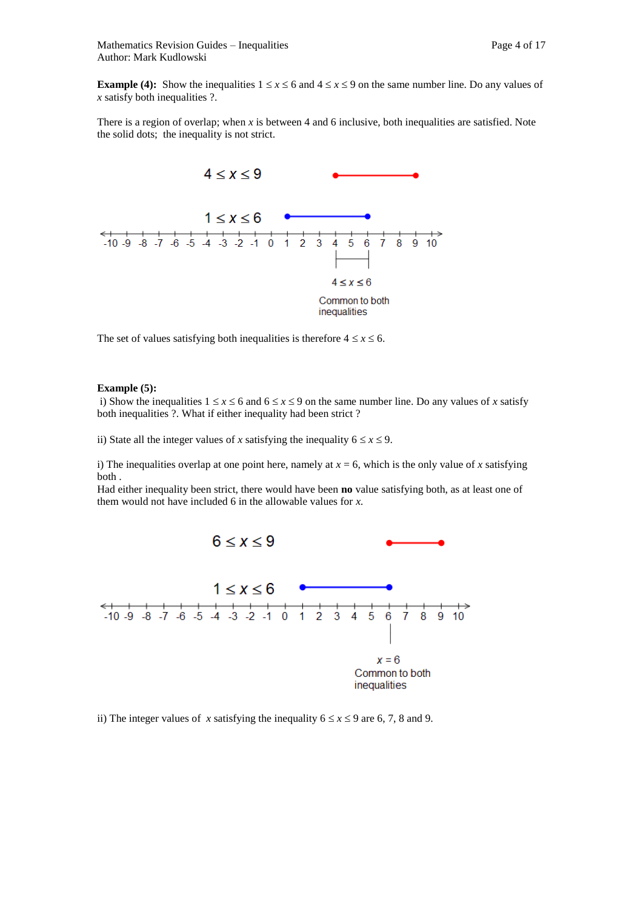**Example (4):** Show the inequalities  $1 \le x \le 6$  and  $4 \le x \le 9$  on the same number line. Do any values of *x* satisfy both inequalities ?.

There is a region of overlap; when *x* is between 4 and 6 inclusive, both inequalities are satisfied. Note the solid dots; the inequality is not strict.



The set of values satisfying both inequalities is therefore  $4 \le x \le 6$ .

#### **Example (5):**

i) Show the inequalities  $1 \le x \le 6$  and  $6 \le x \le 9$  on the same number line. Do any values of *x* satisfy both inequalities ?. What if either inequality had been strict ?

ii) State all the integer values of *x* satisfying the inequality  $6 \le x \le 9$ .

i) The inequalities overlap at one point here, namely at  $x = 6$ , which is the only value of *x* satisfying both .

Had either inequality been strict, there would have been **no** value satisfying both, as at least one of them would not have included 6 in the allowable values for *x.* 



ii) The integer values of *x* satisfying the inequality  $6 \le x \le 9$  are 6, 7, 8 and 9.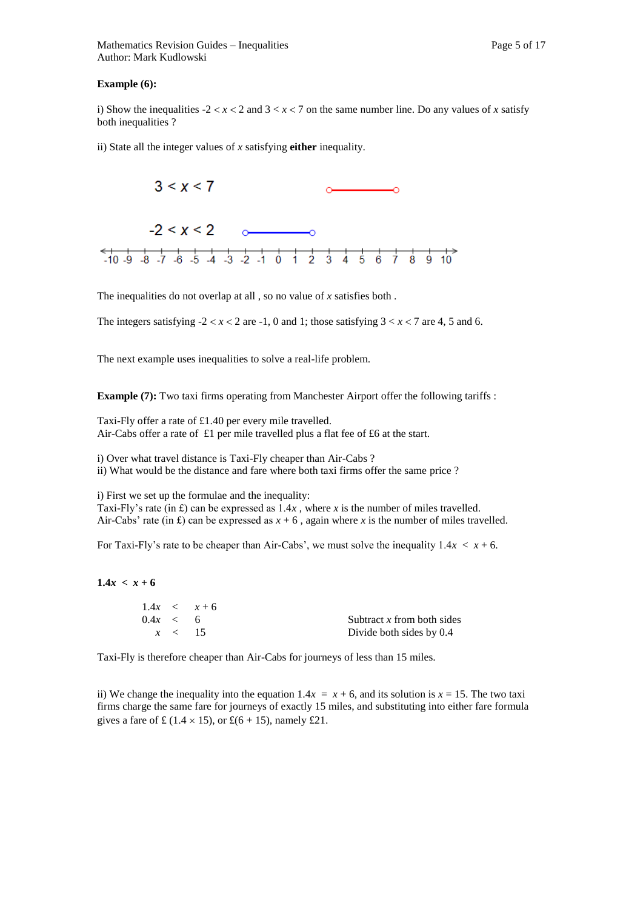#### **Example (6):**

i) Show the inequalities  $-2 < x < 2$  and  $3 < x < 7$  on the same number line. Do any values of *x* satisfy both inequalities ?

ii) State all the integer values of *x* satisfying **either** inequality.



The inequalities do not overlap at all , so no value of *x* satisfies both .

The integers satisfying  $-2 < x < 2$  are  $-1$ , 0 and 1; those satisfying  $3 < x < 7$  are 4, 5 and 6.

The next example uses inequalities to solve a real-life problem.

**Example** (7): Two taxi firms operating from Manchester Airport offer the following tariffs :

Taxi-Fly offer a rate of £1.40 per every mile travelled. Air-Cabs offer a rate of £1 per mile travelled plus a flat fee of £6 at the start.

i) Over what travel distance is Taxi-Fly cheaper than Air-Cabs ? ii) What would be the distance and fare where both taxi firms offer the same price ?

i) First we set up the formulae and the inequality:

Taxi-Fly's rate (in £) can be expressed as 1.4*x* , where *x* is the number of miles travelled. Air-Cabs' rate (in £) can be expressed as  $x + 6$ , again where x is the number of miles travelled.

For Taxi-Fly's rate to be cheaper than Air-Cabs', we must solve the inequality  $1.4x < x + 6$ .

 $1.4x < x + 6$ 

|               | $1.4x \leq x+6$ |                              |
|---------------|-----------------|------------------------------|
| $0.4x \leq 6$ |                 | Subtract $x$ from both sides |
|               | $x \leq 15$     | Divide both sides by 0.4     |

Taxi-Fly is therefore cheaper than Air-Cabs for journeys of less than 15 miles.

ii) We change the inequality into the equation  $1.4x = x + 6$ , and its solution is  $x = 15$ . The two taxi firms charge the same fare for journeys of exactly 15 miles, and substituting into either fare formula gives a fare of £ (1.4  $\times$  15), or £(6 + 15), namely £21.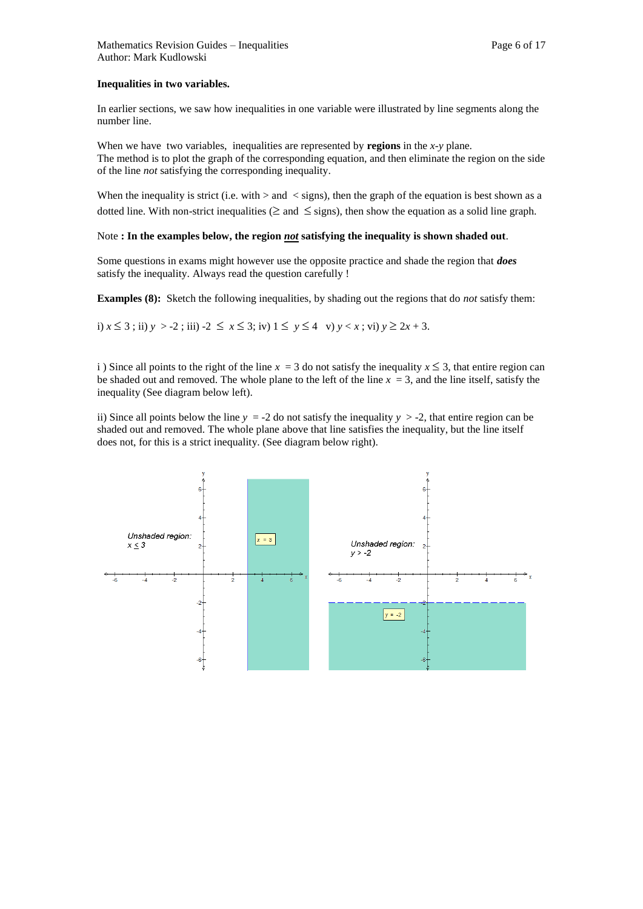#### **Inequalities in two variables.**

In earlier sections, we saw how inequalities in one variable were illustrated by line segments along the number line.

When we have two variables, inequalities are represented by **regions** in the *x-y* plane. The method is to plot the graph of the corresponding equation, and then eliminate the region on the side of the line *not* satisfying the corresponding inequality.

When the inequality is strict (i.e. with  $>$  and  $<$  signs), then the graph of the equation is best shown as a dotted line. With non-strict inequalities ( $\ge$  and  $\le$  signs), then show the equation as a solid line graph.

#### Note **: In the examples below, the region** *not* **satisfying the inequality is shown shaded out**.

Some questions in exams might however use the opposite practice and shade the region that *does*  satisfy the inequality. Always read the question carefully !

**Examples (8):** Sketch the following inequalities, by shading out the regions that do *not* satisfy them:

i)  $x \le 3$ ; ii)  $y > -2$ ; iii)  $-2 \le x \le 3$ ; iv)  $1 \le y \le 4$  v)  $y < x$ ; vi)  $y \ge 2x + 3$ .

i) Since all points to the right of the line  $x = 3$  do not satisfy the inequality  $x \le 3$ , that entire region can be shaded out and removed. The whole plane to the left of the line  $x = 3$ , and the line itself, satisfy the inequality (See diagram below left).

ii) Since all points below the line  $y = -2$  do not satisfy the inequality  $y > -2$ , that entire region can be shaded out and removed. The whole plane above that line satisfies the inequality, but the line itself does not, for this is a strict inequality. (See diagram below right).

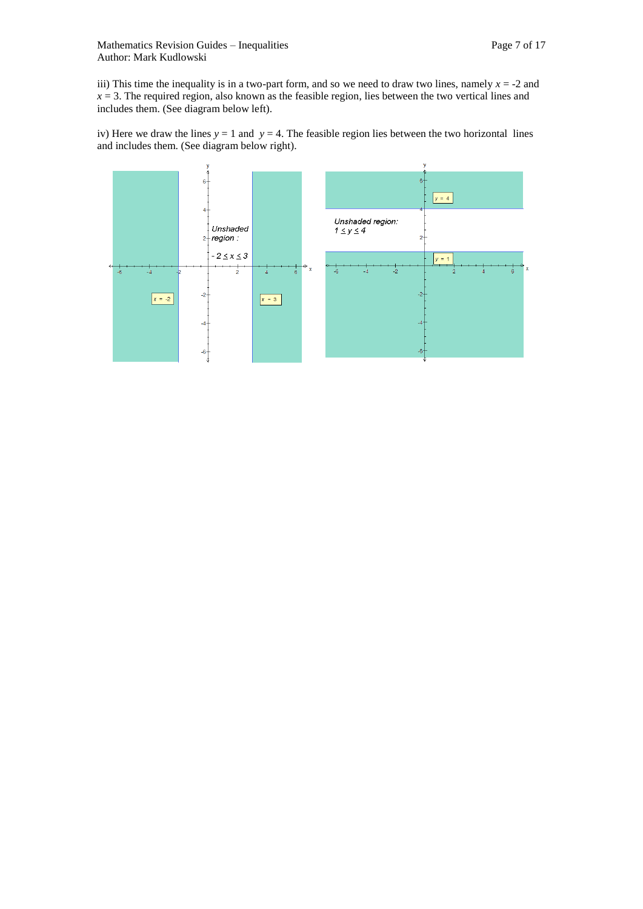iii) This time the inequality is in a two-part form, and so we need to draw two lines, namely  $x = -2$  and  $x = 3$ . The required region, also known as the feasible region, lies between the two vertical lines and includes them. (See diagram below left).

iv) Here we draw the lines  $y = 1$  and  $y = 4$ . The feasible region lies between the two horizontal lines and includes them. (See diagram below right).

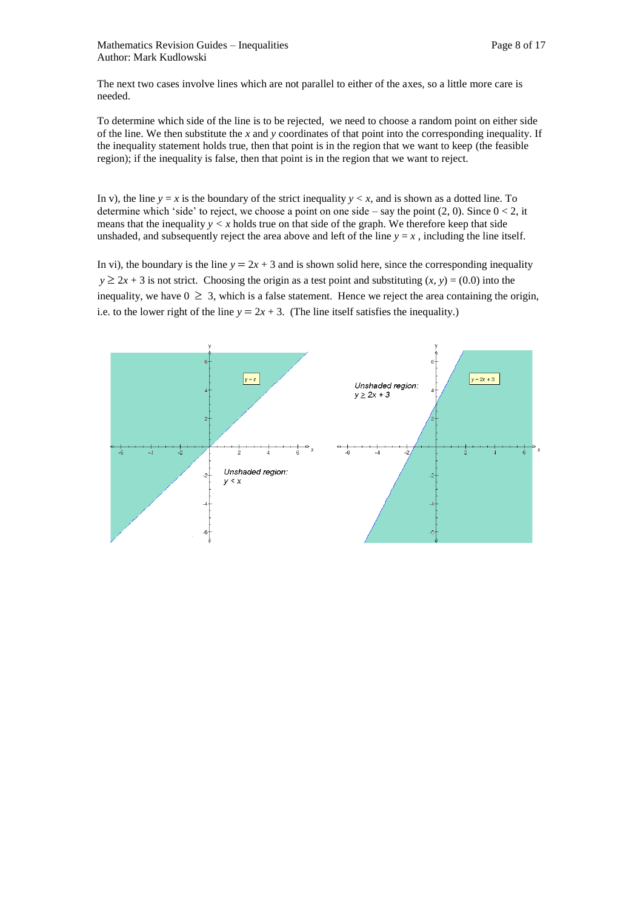The next two cases involve lines which are not parallel to either of the axes, so a little more care is needed.

To determine which side of the line is to be rejected, we need to choose a random point on either side of the line. We then substitute the *x* and *y* coordinates of that point into the corresponding inequality. If the inequality statement holds true, then that point is in the region that we want to keep (the feasible region); if the inequality is false, then that point is in the region that we want to reject.

In v), the line  $y = x$  is the boundary of the strict inequality  $y < x$ , and is shown as a dotted line. To determine which 'side' to reject, we choose a point on one side – say the point  $(2, 0)$ . Since  $0 < 2$ , it means that the inequality  $y < x$  holds true on that side of the graph. We therefore keep that side unshaded, and subsequently reject the area above and left of the line  $y = x$ , including the line itself.

In vi), the boundary is the line  $y = 2x + 3$  and is shown solid here, since the corresponding inequality  $y \ge 2x + 3$  is not strict. Choosing the origin as a test point and substituting  $(x, y) = (0.0)$  into the inequality, we have  $0 \geq 3$ , which is a false statement. Hence we reject the area containing the origin, i.e. to the lower right of the line  $y = 2x + 3$ . (The line itself satisfies the inequality.)

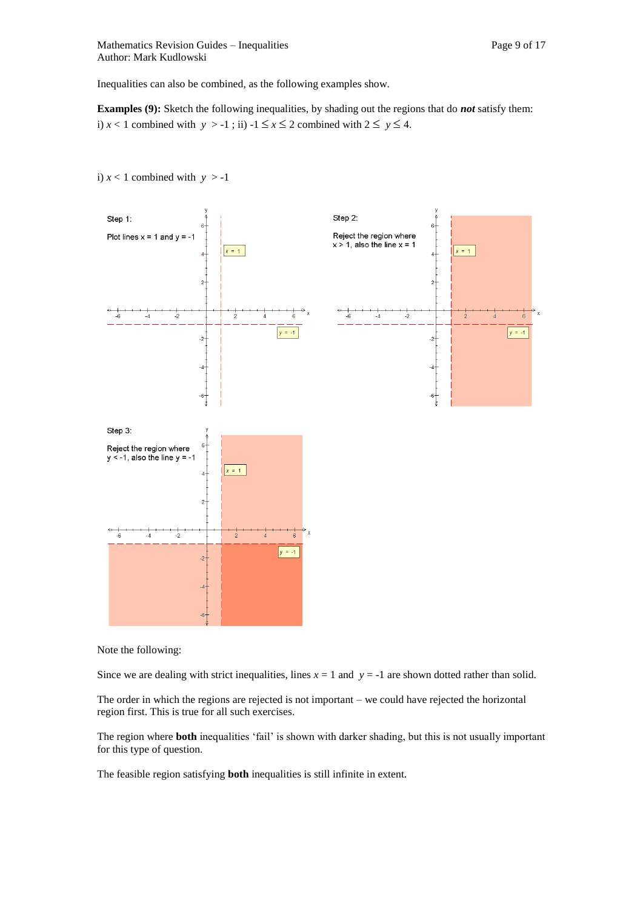Inequalities can also be combined, as the following examples show.

**Examples (9):** Sketch the following inequalities, by shading out the regions that do *not* satisfy them: i)  $x < 1$  combined with  $y > -1$ ; ii)  $-1 \le x \le 2$  combined with  $2 \le y \le 4$ .



i)  $x < 1$  combined with  $y > -1$ 

Note the following:

Since we are dealing with strict inequalities, lines  $x = 1$  and  $y = -1$  are shown dotted rather than solid.

The order in which the regions are rejected is not important – we could have rejected the horizontal region first. This is true for all such exercises.

The region where **both** inequalities 'fail' is shown with darker shading, but this is not usually important for this type of question.

The feasible region satisfying **both** inequalities is still infinite in extent.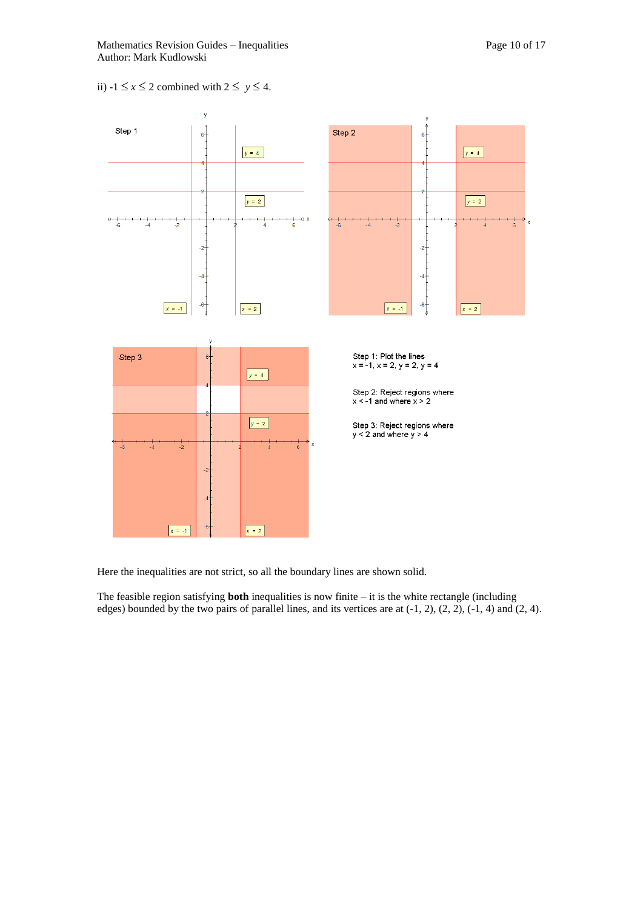Mathematics Revision Guides – Inequalities Page 10 of 17 Author: Mark Kudlowski

## ii)  $-1 \le x \le 2$  combined with  $2 \le y \le 4$ .



Here the inequalities are not strict, so all the boundary lines are shown solid.

The feasible region satisfying **both** inequalities is now finite – it is the white rectangle (including edges) bounded by the two pairs of parallel lines, and its vertices are at  $(-1, 2)$ ,  $(2, 2)$ ,  $(-1, 4)$  and  $(2, 4)$ .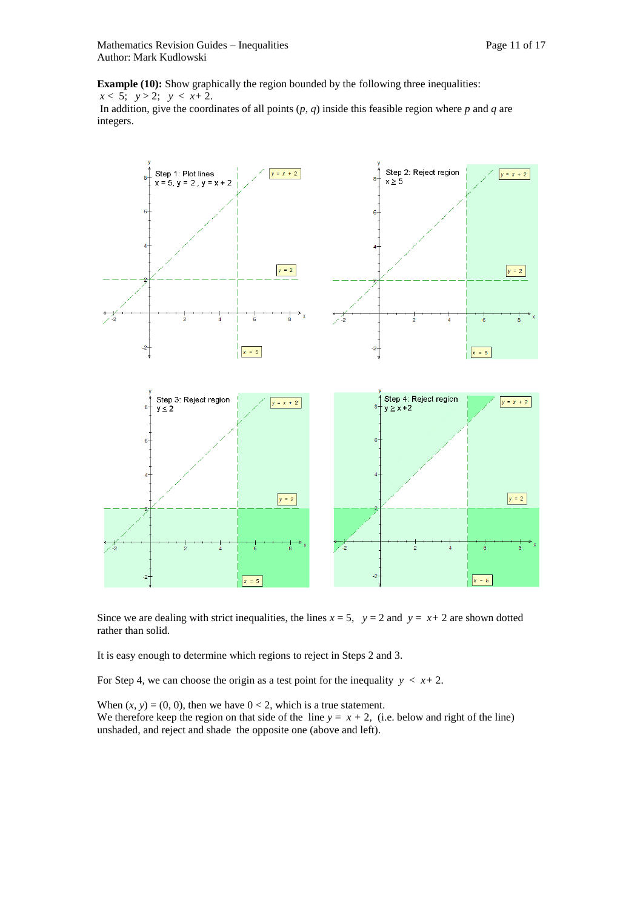**Example (10):** Show graphically the region bounded by the following three inequalities:

 $x < 5$ ;  $y > 2$ ;  $y < x + 2$ .

In addition, give the coordinates of all points  $(p, q)$  inside this feasible region where  $p$  and  $q$  are integers.



Since we are dealing with strict inequalities, the lines  $x = 5$ ,  $y = 2$  and  $y = x + 2$  are shown dotted rather than solid.

It is easy enough to determine which regions to reject in Steps 2 and 3.

For Step 4, we can choose the origin as a test point for the inequality  $y < x + 2$ .

When  $(x, y) = (0, 0)$ , then we have  $0 < 2$ , which is a true statement. We therefore keep the region on that side of the line  $y = x + 2$ , (i.e. below and right of the line) unshaded, and reject and shade the opposite one (above and left).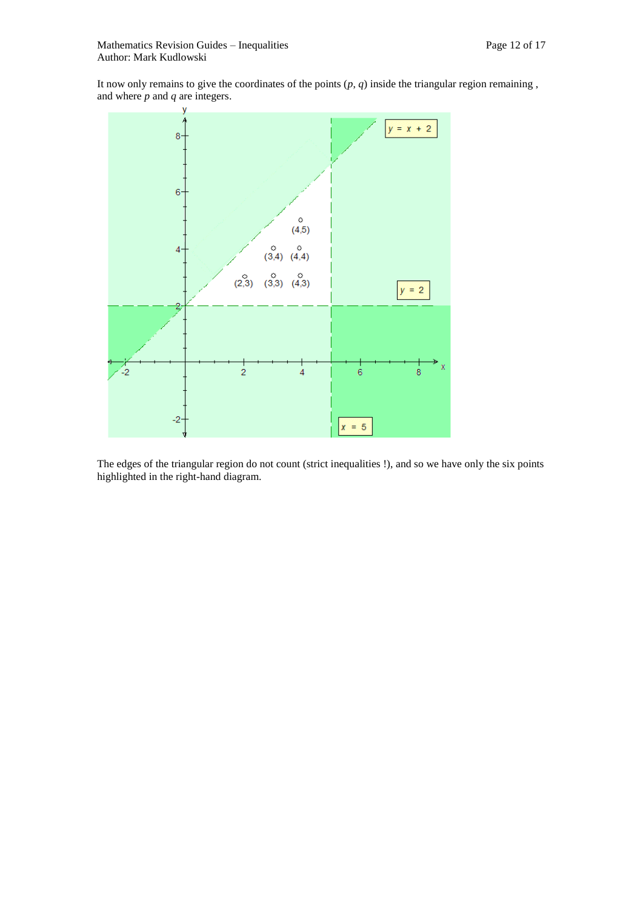It now only remains to give the coordinates of the points  $(p, q)$  inside the triangular region remaining, and where *p* and *q* are integers.



The edges of the triangular region do not count (strict inequalities !), and so we have only the six points highlighted in the right-hand diagram.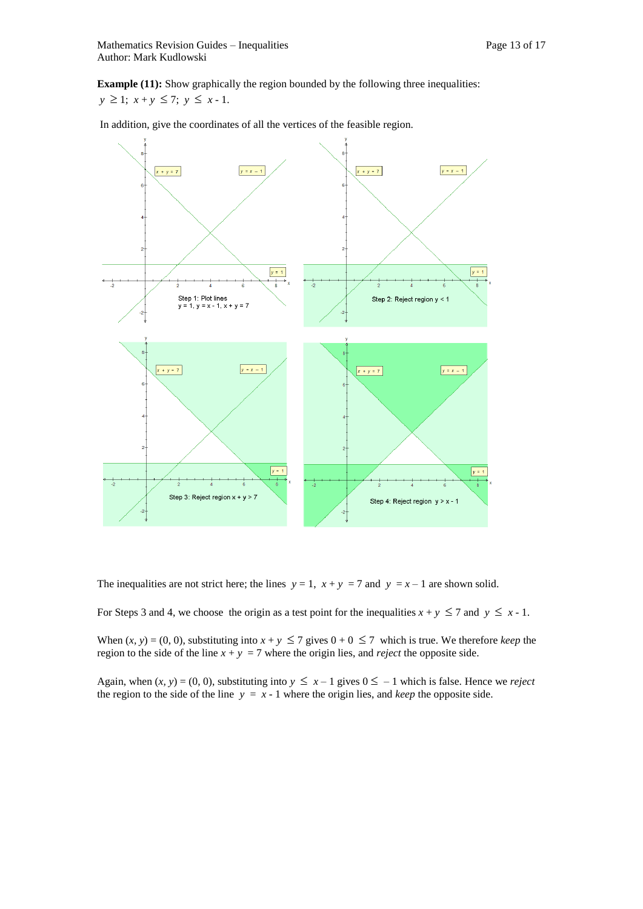**Example (11):** Show graphically the region bounded by the following three inequalities:  $y \geq 1$ ;  $x + y \leq 7$ ;  $y \leq x - 1$ .

In addition, give the coordinates of all the vertices of the feasible region.



The inequalities are not strict here; the lines  $y = 1$ ,  $x + y = 7$  and  $y = x - 1$  are shown solid.

For Steps 3 and 4, we choose the origin as a test point for the inequalities  $x + y \le 7$  and  $y \le x - 1$ .

When  $(x, y) = (0, 0)$ , substituting into  $x + y \le 7$  gives  $0 + 0 \le 7$  which is true. We therefore *keep* the region to the side of the line  $x + y = 7$  where the origin lies, and *reject* the opposite side.

Again, when  $(x, y) = (0, 0)$ , substituting into  $y \le x - 1$  gives  $0 \le -1$  which is false. Hence we *reject* the region to the side of the line  $y = x - 1$  where the origin lies, and *keep* the opposite side.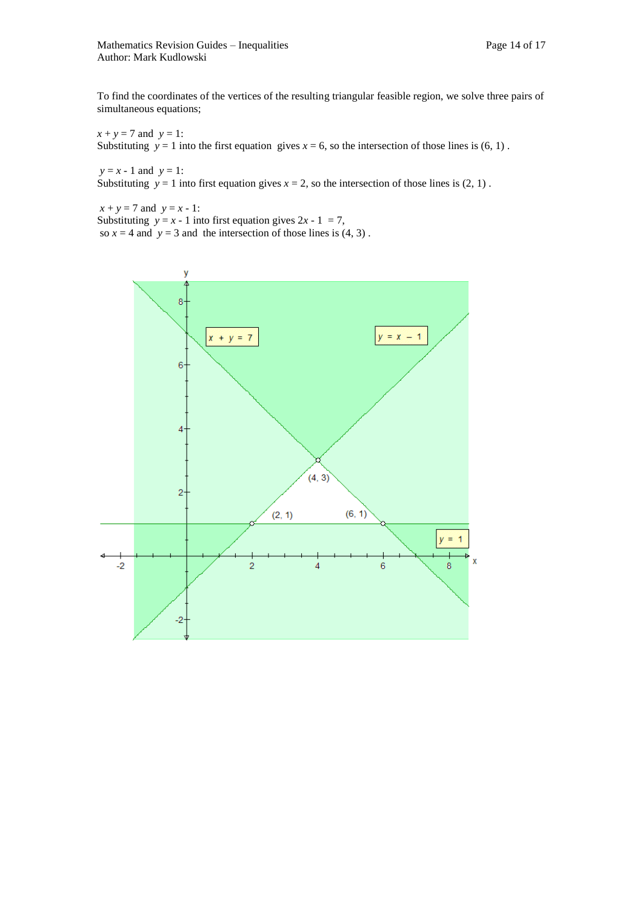To find the coordinates of the vertices of the resulting triangular feasible region, we solve three pairs of simultaneous equations;

 $x + y = 7$  and  $y = 1$ : Substituting  $y = 1$  into the first equation gives  $x = 6$ , so the intersection of those lines is  $(6, 1)$ .

*y* = *x -* 1 and *y* = 1: Substituting  $y = 1$  into first equation gives  $x = 2$ , so the intersection of those lines is (2, 1).

 $x + y = 7$  and  $y = x - 1$ : Substituting  $y = x - 1$  into first equation gives  $2x - 1 = 7$ , so  $x = 4$  and  $y = 3$  and the intersection of those lines is  $(4, 3)$ .

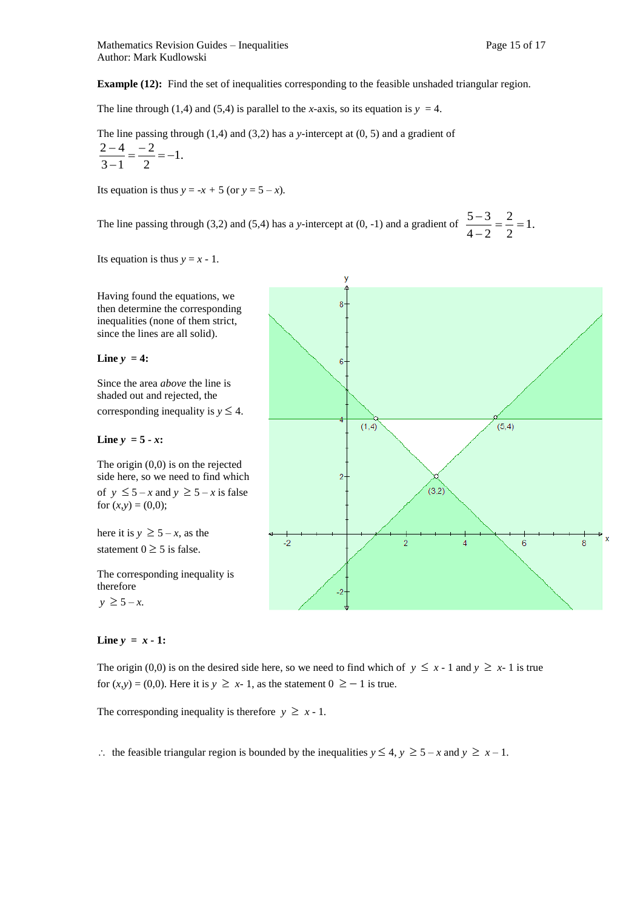**Example (12):** Find the set of inequalities corresponding to the feasible unshaded triangular region.

The line through (1,4) and (5,4) is parallel to the *x*-axis, so its equation is  $y = 4$ .

The line passing through (1,4) and (3,2) has a *y-*intercept at (0, 5) and a gradient of

$$
\frac{2-4}{3-1} = \frac{-2}{2} = -1.
$$

Its equation is thus  $y = -x + 5$  (or  $y = 5 - x$ ).

The line passing through (3,2) and (5,4) has a *y*-intercept at (0, -1) and a gradient of  $\frac{3}{1} = \frac{3}{1} = 1$ . 2 2  $4 - 2$  $\frac{5-3}{1} = \frac{2}{5} =$  $\overline{a}$  $\overline{a}$ 

Its equation is thus  $y = x - 1$ .

Having found the equations, we then determine the corresponding inequalities (none of them strict, since the lines are all solid).

**Line**  $y = 4$ :

Since the area *above* the line is shaded out and rejected, the corresponding inequality is  $y \leq 4$ .

**Line**  $y = 5 - x$ **:** 

The origin (0,0) is on the rejected side here, so we need to find which of  $y \le 5 - x$  and  $y \ge 5 - x$  is false for  $(x,y) = (0,0)$ ;

here it is  $y \ge 5 - x$ , as the statement  $0 \geq 5$  is false.

The corresponding inequality is therefore

 $y \ge 5 - x$ .

## **Line**  $y = x - 1$ :

The origin (0,0) is on the desired side here, so we need to find which of  $y \le x - 1$  and  $y \ge x - 1$  is true for  $(x,y) = (0,0)$ . Here it is  $y \geq x-1$ , as the statement  $0 \geq -1$  is true.

The corresponding inequality is therefore  $y \geq x - 1$ .

 $\therefore$  the feasible triangular region is bounded by the inequalities  $y \le 4$ ,  $y \ge 5 - x$  and  $y \ge x - 1$ .

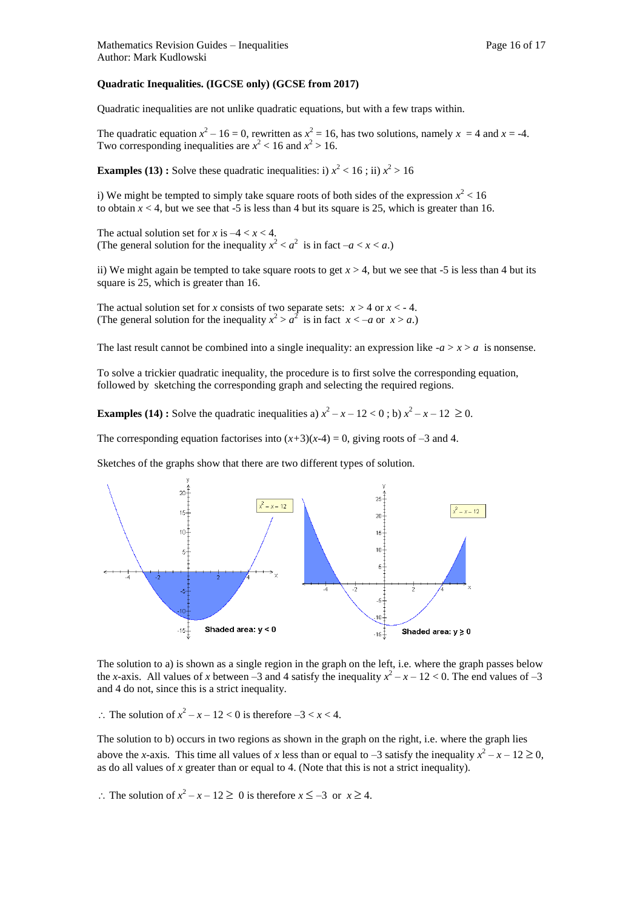#### **Quadratic Inequalities. (IGCSE only) (GCSE from 2017)**

Quadratic inequalities are not unlike quadratic equations, but with a few traps within.

The quadratic equation  $x^2 - 16 = 0$ , rewritten as  $x^2 = 16$ , has two solutions, namely  $x = 4$  and  $x = -4$ . Two corresponding inequalities are  $x^2$  < 16 and  $x^2$  > 16.

**Examples (13) :** Solve these quadratic inequalities: i)  $x^2 < 16$ ; ii)  $x^2 > 16$ 

i) We might be tempted to simply take square roots of both sides of the expression  $x^2$  < 16 to obtain  $x < 4$ , but we see that  $-5$  is less than 4 but its square is 25, which is greater than 16.

The actual solution set for  $x$  is  $-4 < x < 4$ . (The general solution for the inequality  $x^2 < a^2$  is in fact  $-a < x < a$ .)

ii) We might again be tempted to take square roots to get  $x > 4$ , but we see that  $-5$  is less than 4 but its square is 25, which is greater than 16.

The actual solution set for *x* consists of two separate sets:  $x > 4$  or  $x < -4$ . (The general solution for the inequality  $x^2 > a^2$  is in fact  $x < -a$  or  $x > a$ .)

The last result cannot be combined into a single inequality: an expression like  $-a > x > a$  is nonsense.

To solve a trickier quadratic inequality, the procedure is to first solve the corresponding equation, followed by sketching the corresponding graph and selecting the required regions.

**Examples (14) :** Solve the quadratic inequalities a)  $x^2 - x - 12 < 0$ ; b)  $x^2 - x - 12 \ge 0$ .

The corresponding equation factorises into  $(x+3)(x-4) = 0$ , giving roots of  $-3$  and 4.

Sketches of the graphs show that there are two different types of solution.



The solution to a) is shown as a single region in the graph on the left, i.e. where the graph passes below the *x*-axis. All values of *x* between –3 and 4 satisfy the inequality  $x^2 - x - 12 < 0$ . The end values of –3 and 4 do not, since this is a strict inequality.

 $\therefore$  The solution of  $x^2 - x - 12 < 0$  is therefore  $-3 < x < 4$ .

The solution to b) occurs in two regions as shown in the graph on the right, i.e. where the graph lies above the *x*-axis. This time all values of *x* less than or equal to  $-3$  satisfy the inequality  $x^2 - x - 12 \ge 0$ , as do all values of *x* greater than or equal to 4. (Note that this is not a strict inequality).

 $\therefore$  The solution of  $x^2 - x - 12 \ge 0$  is therefore  $x \le -3$  or  $x \ge 4$ .